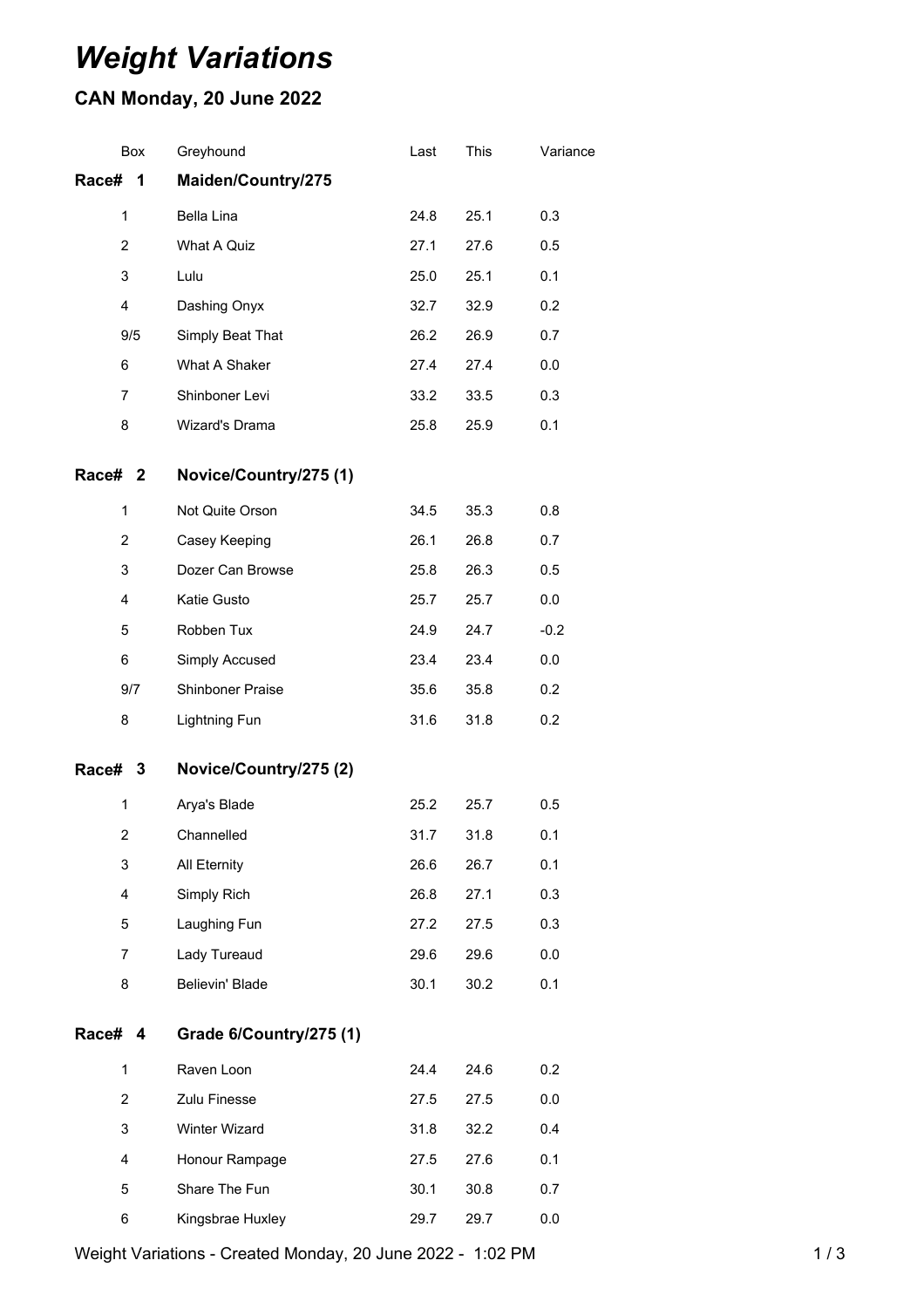## *Weight Variations*

## **CAN Monday, 20 June 2022**

| Box            | Greyhound               | Last | This | Variance |
|----------------|-------------------------|------|------|----------|
| Race#<br>1     | Maiden/Country/275      |      |      |          |
| $\mathbf 1$    | Bella Lina              | 24.8 | 25.1 | 0.3      |
| $\overline{c}$ | What A Quiz             | 27.1 | 27.6 | 0.5      |
| 3              | Lulu                    | 25.0 | 25.1 | 0.1      |
| 4              | Dashing Onyx            | 32.7 | 32.9 | 0.2      |
| 9/5            | Simply Beat That        | 26.2 | 26.9 | 0.7      |
| 6              | What A Shaker           | 27.4 | 27.4 | 0.0      |
| $\overline{7}$ | Shinboner Levi          | 33.2 | 33.5 | 0.3      |
| 8              | Wizard's Drama          | 25.8 | 25.9 | 0.1      |
| Race# 2        | Novice/Country/275 (1)  |      |      |          |
| 1              | Not Quite Orson         | 34.5 | 35.3 | 0.8      |
| $\overline{c}$ | Casey Keeping           | 26.1 | 26.8 | 0.7      |
| 3              | Dozer Can Browse        | 25.8 | 26.3 | 0.5      |
| $\overline{4}$ | Katie Gusto             | 25.7 | 25.7 | 0.0      |
| 5              | Robben Tux              | 24.9 | 24.7 | $-0.2$   |
| 6              | Simply Accused          | 23.4 | 23.4 | 0.0      |
| 9/7            | Shinboner Praise        | 35.6 | 35.8 | 0.2      |
| 8              | Lightning Fun           | 31.6 | 31.8 | 0.2      |
| Race# 3        | Novice/Country/275 (2)  |      |      |          |
| 1              | Arya's Blade            | 25.2 | 25.7 | 0.5      |
| $\overline{2}$ | Channelled              | 31.7 | 31.8 | 0.1      |
| 3              | All Eternity            | 26.6 | 26.7 | 0.1      |
| 4              | Simply Rich             | 26.8 | 27.1 | 0.3      |
| 5              | Laughing Fun            | 27.2 | 27.5 | 0.3      |
| $\overline{7}$ | Lady Tureaud            | 29.6 | 29.6 | $0.0\,$  |
| 8              | Believin' Blade         | 30.1 | 30.2 | 0.1      |
| Race# 4        | Grade 6/Country/275 (1) |      |      |          |
| 1              | Raven Loon              | 24.4 | 24.6 | 0.2      |
| $\mathbf{2}$   | Zulu Finesse            | 27.5 | 27.5 | 0.0      |
| 3              | Winter Wizard           | 31.8 | 32.2 | 0.4      |
| 4              | Honour Rampage          | 27.5 | 27.6 | 0.1      |
| 5              | Share The Fun           | 30.1 | 30.8 | 0.7      |
| 6              | Kingsbrae Huxley        | 29.7 | 29.7 | 0.0      |

Weight Variations - Created Monday, 20 June 2022 - 1:02 PM 1 1 1 1 1 1 1 3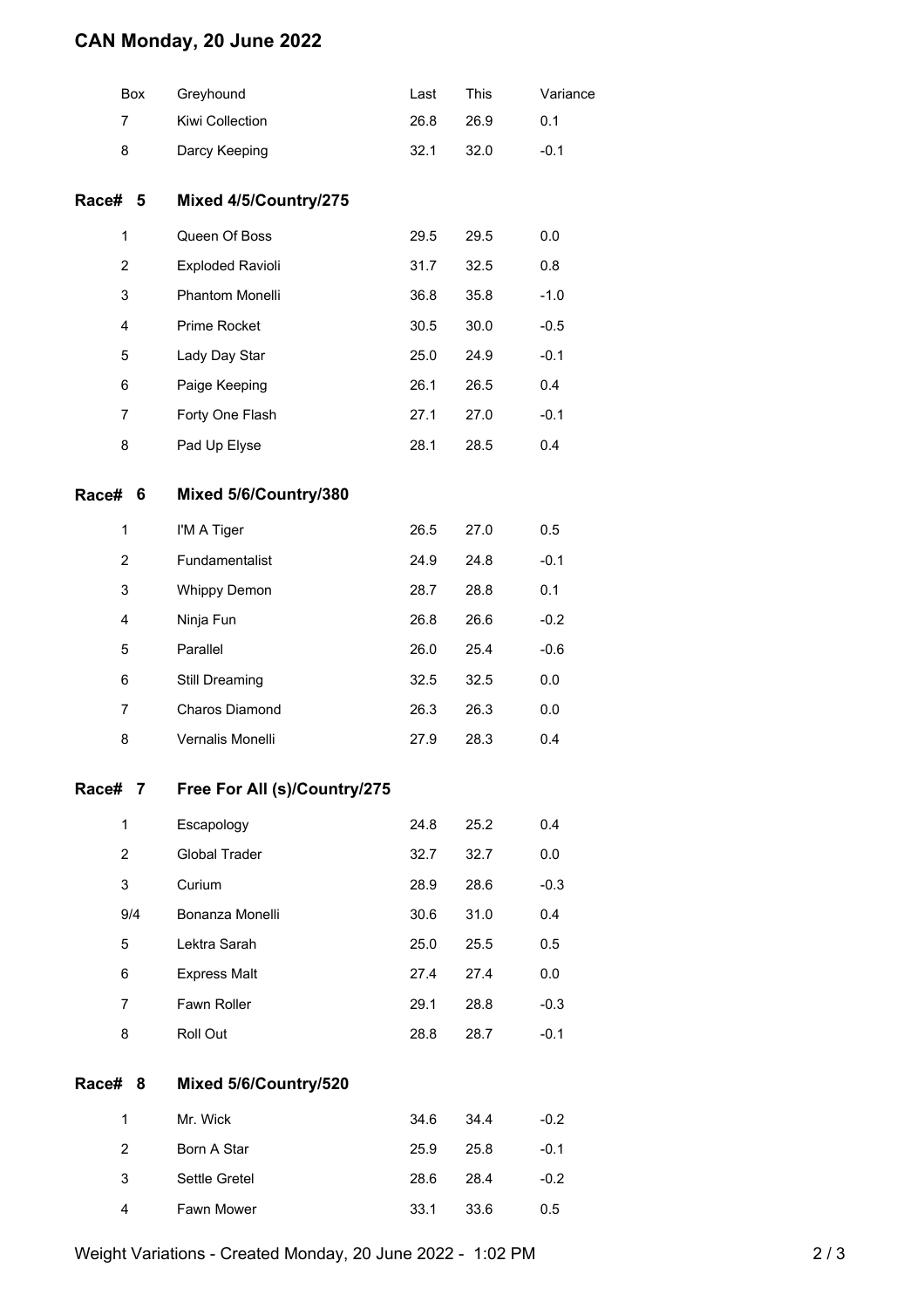## **CAN Monday, 20 June 2022**

|                | Box | Greyhound                    | Last | This | Variance |
|----------------|-----|------------------------------|------|------|----------|
| 7              |     | Kiwi Collection              | 26.8 | 26.9 | 0.1      |
| 8              |     | Darcy Keeping                | 32.1 | 32.0 | $-0.1$   |
| Race# 5        |     | Mixed 4/5/Country/275        |      |      |          |
| 1              |     | Queen Of Boss                | 29.5 | 29.5 | 0.0      |
| 2              |     | <b>Exploded Ravioli</b>      | 31.7 | 32.5 | 0.8      |
| 3              |     | Phantom Monelli              | 36.8 | 35.8 | $-1.0$   |
| 4              |     | Prime Rocket                 | 30.5 | 30.0 | $-0.5$   |
| 5              |     | Lady Day Star                | 25.0 | 24.9 | $-0.1$   |
| 6              |     | Paige Keeping                | 26.1 | 26.5 | 0.4      |
| $\overline{7}$ |     | Forty One Flash              | 27.1 | 27.0 | $-0.1$   |
| 8              |     | Pad Up Elyse                 | 28.1 | 28.5 | 0.4      |
| Race# 6        |     | Mixed 5/6/Country/380        |      |      |          |
| $\mathbf{1}$   |     | I'M A Tiger                  | 26.5 | 27.0 | 0.5      |
| $\overline{2}$ |     | Fundamentalist               | 24.9 | 24.8 | $-0.1$   |
| 3              |     | <b>Whippy Demon</b>          | 28.7 | 28.8 | 0.1      |
| 4              |     | Ninja Fun                    | 26.8 | 26.6 | $-0.2$   |
| 5              |     | Parallel                     | 26.0 | 25.4 | $-0.6$   |
| 6              |     | Still Dreaming               | 32.5 | 32.5 | 0.0      |
| 7              |     | Charos Diamond               | 26.3 | 26.3 | 0.0      |
| 8              |     | Vernalis Monelli             | 27.9 | 28.3 | 0.4      |
| Race# 7        |     | Free For All (s)/Country/275 |      |      |          |
| $\mathbf{1}$   |     | Escapology                   | 24.8 | 25.2 | 0.4      |
| $\overline{2}$ |     | <b>Global Trader</b>         | 32.7 | 32.7 | 0.0      |
| 3              |     | Curium                       | 28.9 | 28.6 | $-0.3$   |
|                | 9/4 | Bonanza Monelli              | 30.6 | 31.0 | 0.4      |
| 5              |     | Lektra Sarah                 | 25.0 | 25.5 | 0.5      |
| 6              |     | <b>Express Malt</b>          | 27.4 | 27.4 | 0.0      |
| $\overline{7}$ |     | Fawn Roller                  | 29.1 | 28.8 | $-0.3$   |
| 8              |     | Roll Out                     | 28.8 | 28.7 | $-0.1$   |
| Race# 8        |     | Mixed 5/6/Country/520        |      |      |          |
| $\mathbf{1}$   |     | Mr. Wick                     | 34.6 | 34.4 | $-0.2$   |
| $\overline{2}$ |     | Born A Star                  | 25.9 | 25.8 | $-0.1$   |
| 3              |     | Settle Gretel                | 28.6 | 28.4 | $-0.2$   |
| 4              |     | Fawn Mower                   | 33.1 | 33.6 | 0.5      |
|                |     |                              |      |      |          |

Weight Variations - Created Monday, 20 June 2022 - 1:02 PM 2 / 3